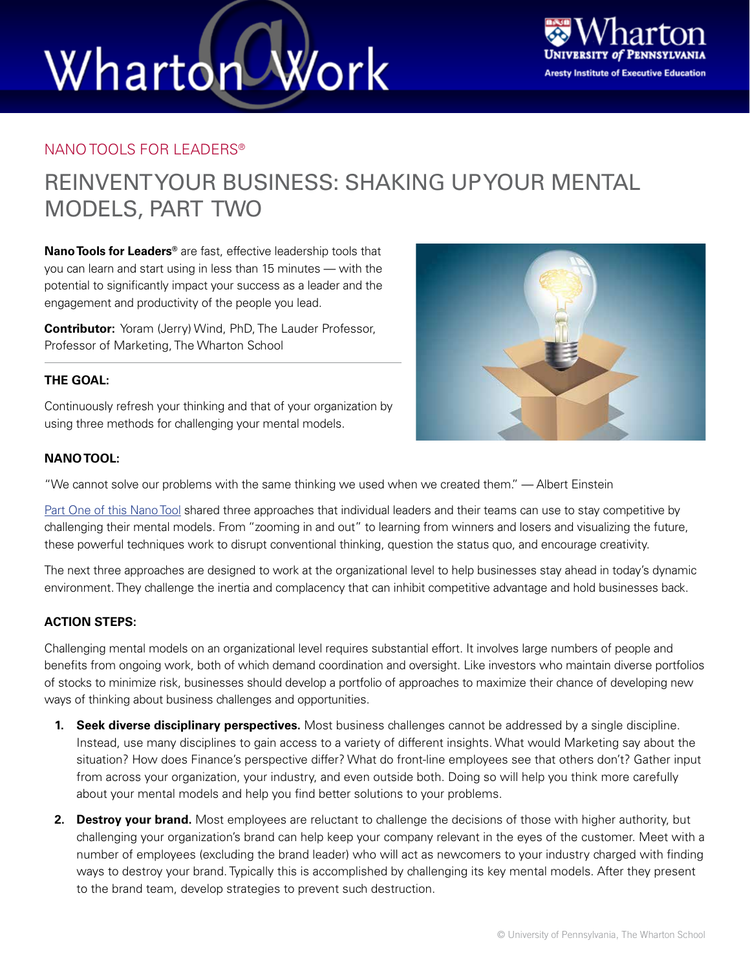# Wharton Work



#### NANO TOOLS FOR LEADERS®

### REINVENT YOUR BUSINESS: SHAKING UP YOUR MENTAL MODELS, PART TWO

**Nano Tools for Leaders®** are fast, effective leadership tools that you can learn and start using in less than 15 minutes — with the potential to significantly impact your success as a leader and the engagement and productivity of the people you lead.

**Contributor:** Yoram (Jerry) Wind, PhD, The Lauder Professor, Professor of Marketing, The Wharton School

#### **THE GOAL:**

Continuously refresh your thinking and that of your organization by using three methods for challenging your mental models.

#### **NANO TOOL:**

"We cannot solve our problems with the same thinking we used when we created them." — Albert Einstein

[Part One of this Nano Tool](http://executiveeducation.wharton.upenn.edu/thought-leadership/wharton-at-work/2015/01/reinvent-your-business) shared three approaches that individual leaders and their teams can use to stay competitive by challenging their mental models. From "zooming in and out" to learning from winners and losers and visualizing the future, these powerful techniques work to disrupt conventional thinking, question the status quo, and encourage creativity.

The next three approaches are designed to work at the organizational level to help businesses stay ahead in today's dynamic environment. They challenge the inertia and complacency that can inhibit competitive advantage and hold businesses back.

#### **ACTION STEPS:**

Challenging mental models on an organizational level requires substantial effort. It involves large numbers of people and benefits from ongoing work, both of which demand coordination and oversight. Like investors who maintain diverse portfolios of stocks to minimize risk, businesses should develop a portfolio of approaches to maximize their chance of developing new ways of thinking about business challenges and opportunities.

- **1. Seek diverse disciplinary perspectives.** Most business challenges cannot be addressed by a single discipline. Instead, use many disciplines to gain access to a variety of different insights. What would Marketing say about the situation? How does Finance's perspective differ? What do front-line employees see that others don't? Gather input from across your organization, your industry, and even outside both. Doing so will help you think more carefully about your mental models and help you find better solutions to your problems.
- **2. Destroy your brand.** Most employees are reluctant to challenge the decisions of those with higher authority, but challenging your organization's brand can help keep your company relevant in the eyes of the customer. Meet with a number of employees (excluding the brand leader) who will act as newcomers to your industry charged with finding ways to destroy your brand. Typically this is accomplished by challenging its key mental models. After they present to the brand team, develop strategies to prevent such destruction.